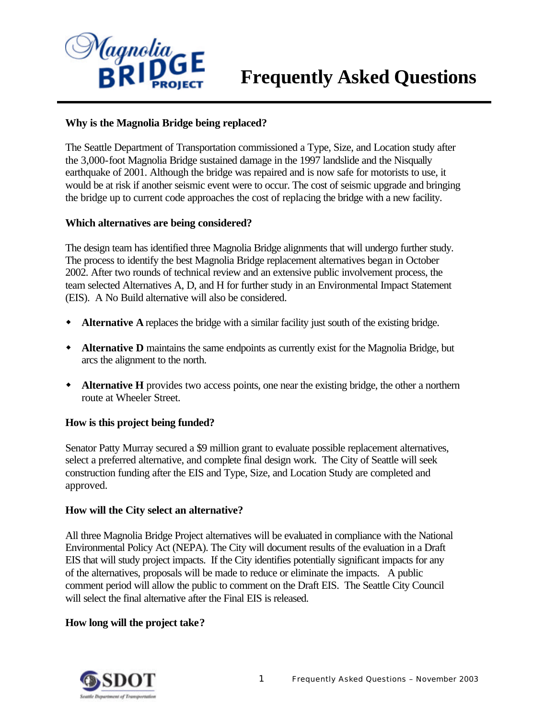

# **Frequently Asked Questions**

## **Why is the Magnolia Bridge being replaced?**

The Seattle Department of Transportation commissioned a Type, Size, and Location study after the 3,000-foot Magnolia Bridge sustained damage in the 1997 landslide and the Nisqually earthquake of 2001. Although the bridge was repaired and is now safe for motorists to use, it would be at risk if another seismic event were to occur. The cost of seismic upgrade and bringing the bridge up to current code approaches the cost of replacing the bridge with a new facility.

### **Which alternatives are being considered?**

The design team has identified three Magnolia Bridge alignments that will undergo further study. The process to identify the best Magnolia Bridge replacement alternatives began in October 2002. After two rounds of technical review and an extensive public involvement process, the team selected Alternatives A, D, and H for further study in an Environmental Impact Statement (EIS). A No Build alternative will also be considered.

- w **Alternative A** replaces the bridge with a similar facility just south of the existing bridge.
- **\*** Alternative D maintains the same endpoints as currently exist for the Magnolia Bridge, but arcs the alignment to the north.
- w **Alternative H** provides two access points, one near the existing bridge, the other a northern route at Wheeler Street.

### **How is this project being funded?**

Senator Patty Murray secured a \$9 million grant to evaluate possible replacement alternatives, select a preferred alternative, and complete final design work. The City of Seattle will seek construction funding after the EIS and Type, Size, and Location Study are completed and approved.

#### **How will the City select an alternative?**

All three Magnolia Bridge Project alternatives will be evaluated in compliance with the National Environmental Policy Act (NEPA). The City will document results of the evaluation in a Draft EIS that will study project impacts. If the City identifies potentially significant impacts for any of the alternatives, proposals will be made to reduce or eliminate the impacts. A public comment period will allow the public to comment on the Draft EIS. The Seattle City Council will select the final alternative after the Final EIS is released.

### **How long will the project take?**